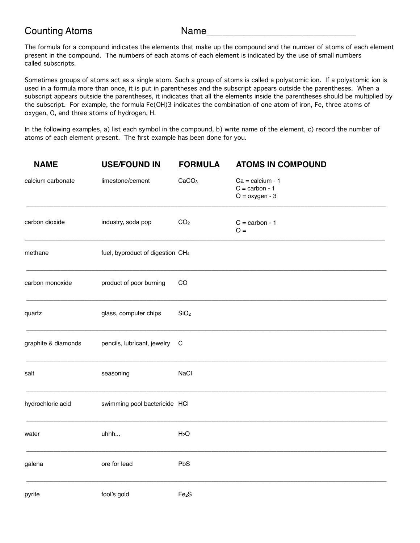## Counting Atoms Name

The formula for a compound indicates the elements that make up the compound and the number of atoms of each element present in the compound. The numbers of each atoms of each element is indicated by the use of small numbers called subscripts.

Sometimes groups of atoms act as a single atom. Such a group of atoms is called a polyatomic ion. If a polyatomic ion is used in a formula more than once, it is put in parentheses and the subscript appears outside the parentheses. When a subscript appears outside the parentheses, it indicates that all the elements inside the parentheses should be multiplied by the subscript. For example, the formula Fe(OH)3 indicates the combination of one atom of iron, Fe, three atoms of oxygen, O, and three atoms of hydrogen, H.

In the following examples, a) list each symbol in the compound, b) write name of the element, c) record the number of atoms of each element present. The first example has been done for you.

| <b>NAME</b>         | <b>USE/FOUND IN</b>                          | <b>FORMULA</b>    | <b>ATOMS IN COMPOUND</b>                                   |
|---------------------|----------------------------------------------|-------------------|------------------------------------------------------------|
| calcium carbonate   | limestone/cement                             | CaCO <sub>3</sub> | $Ca = calcium - 1$<br>$C = carbon - 1$<br>$O =$ oxygen - 3 |
| carbon dioxide      | industry, soda pop                           | CO <sub>2</sub>   | $C = carbon - 1$<br>$O =$                                  |
| methane             | fuel, byproduct of digestion CH <sub>4</sub> |                   |                                                            |
| carbon monoxide     | product of poor burning                      | CO                |                                                            |
| quartz              | glass, computer chips                        | SiO <sub>2</sub>  |                                                            |
| graphite & diamonds | pencils, lubricant, jewelry                  | C                 |                                                            |
| salt                | seasoning                                    | <b>NaCl</b>       |                                                            |
| hydrochloric acid   | swimming pool bactericide HCI                |                   |                                                            |
| water               | uhhh                                         | H <sub>2</sub> O  |                                                            |
| galena              | ore for lead                                 | PbS               |                                                            |
| pyrite              | fool's gold                                  | Fe <sub>2</sub> S |                                                            |